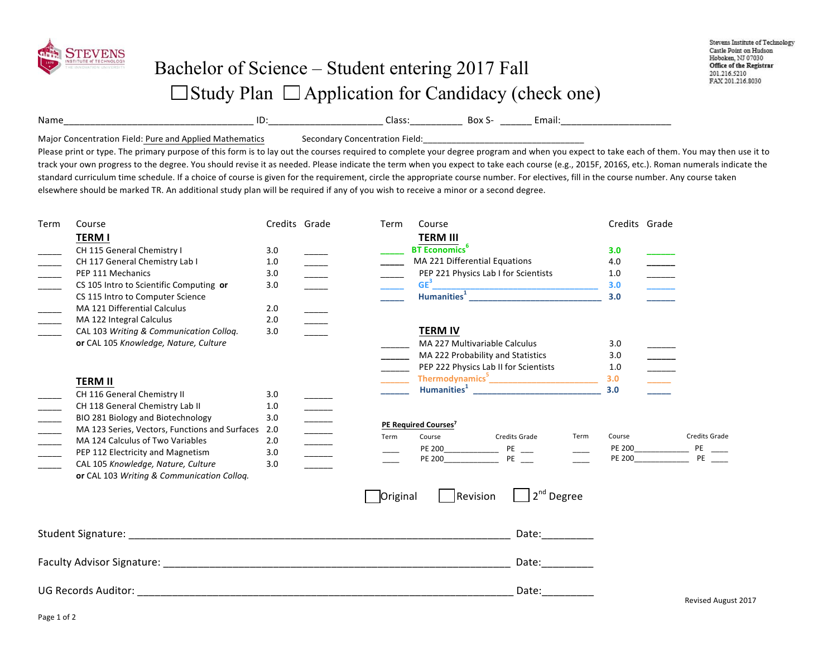

Name\_\_\_\_\_\_\_\_\_\_\_\_\_\_\_\_\_\_\_\_\_\_\_\_\_\_\_\_\_\_\_\_\_\_\_\_ ID:\_\_\_\_\_\_\_\_\_\_\_\_\_\_\_\_\_\_\_\_\_\_ Class:\_\_\_\_\_\_\_\_\_\_ Box S- \_\_\_\_\_\_ Email:\_\_\_\_\_\_\_\_\_\_\_\_\_\_\_\_\_\_\_\_\_ 

Major Concentration Field: Pure and Applied Mathematics Secondary Concentration Field:

Please print or type. The primary purpose of this form is to lay out the courses required to complete your degree program and when you expect to take each of them. You may then use it to track your own progress to the degree. You should revise it as needed. Please indicate the term when you expect to take each course (e.g., 2015F, 2016S, etc.). Roman numerals indicate the standard curriculum time schedule. If a choice of course is given for the requirement, circle the appropriate course number. For electives, fill in the course number. Any course taken elsewhere should be marked TR. An additional study plan will be required if any of you wish to receive a minor or a second degree.

| Term | Course                                         | Credits Grade |                                                                                                                                                       | Term     | Course                                                                                                                       | Credits Grade |                                                                                                                          |
|------|------------------------------------------------|---------------|-------------------------------------------------------------------------------------------------------------------------------------------------------|----------|------------------------------------------------------------------------------------------------------------------------------|---------------|--------------------------------------------------------------------------------------------------------------------------|
|      | <b>TERM I</b>                                  |               |                                                                                                                                                       |          | <b>TERM III</b>                                                                                                              |               |                                                                                                                          |
|      | CH 115 General Chemistry I                     | 3.0           |                                                                                                                                                       |          | <b>BT</b> Economics <sup>6</sup>                                                                                             | 3.0           |                                                                                                                          |
|      | CH 117 General Chemistry Lab I                 | 1.0           |                                                                                                                                                       |          | MA 221 Differential Equations                                                                                                | 4.0           |                                                                                                                          |
|      | PEP 111 Mechanics                              | 3.0           |                                                                                                                                                       |          | PEP 221 Physics Lab I for Scientists                                                                                         | 1.0           |                                                                                                                          |
|      | CS 105 Intro to Scientific Computing or        | 3.0           |                                                                                                                                                       |          | $GE3$<br>Humanities <sup>1</sup>                                                                                             | 3.0           | $\begin{array}{c} \begin{array}{c} \begin{array}{c} \begin{array}{c} \end{array} \\ \end{array} \end{array} \end{array}$ |
|      | CS 115 Intro to Computer Science               |               |                                                                                                                                                       |          |                                                                                                                              | 3.0           |                                                                                                                          |
|      | MA 121 Differential Calculus                   | 2.0           |                                                                                                                                                       |          |                                                                                                                              |               |                                                                                                                          |
|      | MA 122 Integral Calculus                       | 2.0           |                                                                                                                                                       |          |                                                                                                                              |               |                                                                                                                          |
|      | CAL 103 Writing & Communication Colloq.        | 3.0           |                                                                                                                                                       |          | <b>TERM IV</b>                                                                                                               |               |                                                                                                                          |
|      | or CAL 105 Knowledge, Nature, Culture          |               |                                                                                                                                                       |          | <b>MA 227 Multivariable Calculus</b>                                                                                         | 3.0           |                                                                                                                          |
|      |                                                |               |                                                                                                                                                       |          | MA 222 Probability and Statistics                                                                                            | 3.0           |                                                                                                                          |
|      |                                                |               |                                                                                                                                                       |          | PEP 222 Physics Lab II for Scientists                                                                                        | 1.0           |                                                                                                                          |
|      | <b>TERM II</b>                                 |               |                                                                                                                                                       |          |                                                                                                                              | 3.0           |                                                                                                                          |
|      | CH 116 General Chemistry II                    | 3.0           |                                                                                                                                                       |          | Humanities <sup>1</sup> Manual Manual Manual Manual Manual Manual Manual Manual Manual Manual Manual Manual Manual Manual Ma | 3.0           |                                                                                                                          |
|      | CH 118 General Chemistry Lab II                | 1.0           |                                                                                                                                                       |          |                                                                                                                              |               |                                                                                                                          |
|      | BIO 281 Biology and Biotechnology              | 3.0           | $\begin{array}{c} \begin{array}{c} \begin{array}{c} \begin{array}{c} \end{array} \\ \begin{array}{c} \end{array} \end{array} \end{array} \end{array}$ |          | PE Required Courses <sup>7</sup>                                                                                             |               |                                                                                                                          |
|      | MA 123 Series, Vectors, Functions and Surfaces | 2.0           |                                                                                                                                                       | Term     | Course<br>Credits Grade<br>Term                                                                                              | Course        | Credits Grade                                                                                                            |
|      | MA 124 Calculus of Two Variables               | 2.0           | $\frac{1}{1}$                                                                                                                                         |          | PE 200<br>$PE$ ___                                                                                                           | PE 200        |                                                                                                                          |
|      | PEP 112 Electricity and Magnetism              | 3.0           | $\frac{1}{1}$                                                                                                                                         |          | $PE$ <sub>--</sub><br>PE 200                                                                                                 | <b>PE 200</b> | $\frac{PE}{PE}$ $\frac{1}{1}$                                                                                            |
|      | CAL 105 Knowledge, Nature, Culture             | 3.0           |                                                                                                                                                       |          |                                                                                                                              |               |                                                                                                                          |
|      | or CAL 103 Writing & Communication Colloq.     |               |                                                                                                                                                       |          |                                                                                                                              |               |                                                                                                                          |
|      |                                                |               |                                                                                                                                                       | Original | $2nd$ Degree<br>Revision                                                                                                     |               |                                                                                                                          |
|      |                                                |               |                                                                                                                                                       |          | Date:__________                                                                                                              |               |                                                                                                                          |
|      |                                                |               |                                                                                                                                                       |          | Date: and the part of the part of the part of the part of the part of the part of the part of the part of the s              |               |                                                                                                                          |
|      |                                                |               |                                                                                                                                                       |          | Date: $\qquad \qquad$                                                                                                        |               | <b>Revised August 2017</b>                                                                                               |